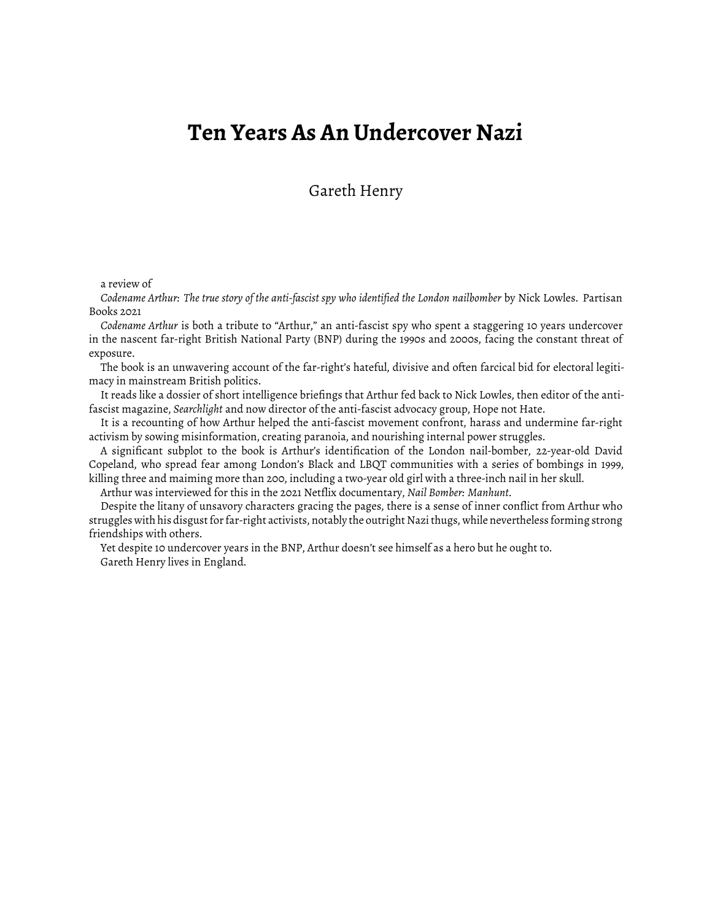## **Ten Years As An Undercover Nazi**

Gareth Henry

a review of

*Codename Arthur: The true story of the anti-fascist spy who identified the London nailbomber* by Nick Lowles. Partisan Books 2021

*Codename Arthur* is both a tribute to "Arthur," an anti-fascist spy who spent a staggering 10 years undercover in the nascent far-right British National Party (BNP) during the 1990s and 2000s, facing the constant threat of exposure.

The book is an unwavering account of the far-right's hateful, divisive and often farcical bid for electoral legitimacy in mainstream British politics.

It reads like a dossier of short intelligence briefings that Arthur fed back to Nick Lowles, then editor of the antifascist magazine, *Searchlight* and now director of the anti-fascist advocacy group, Hope not Hate.

It is a recounting of how Arthur helped the anti-fascist movement confront, harass and undermine far-right activism by sowing misinformation, creating paranoia, and nourishing internal power struggles.

A significant subplot to the book is Arthur's identification of the London nail-bomber, 22-year-old David Copeland, who spread fear among London's Black and LBQT communities with a series of bombings in 1999, killing three and maiming more than 200, including a two-year old girl with a three-inch nail in her skull.

Arthur was interviewed for this in the 2021 Netflix documentary, *Nail Bomber: Manhunt*.

Despite the litany of unsavory characters gracing the pages, there is a sense of inner conflict from Arthur who struggles with his disgust for far-right activists, notably the outright Nazithugs, while nevertheless forming strong friendships with others.

Yet despite 10 undercover years in the BNP, Arthur doesn't see himself as a hero but he ought to. Gareth Henry lives in England.